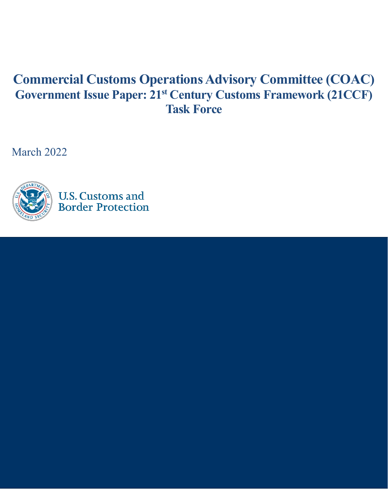# **Commercial Customs Operations Advisory Committee (COAC) Government Issue Paper: 21st Century Customs Framework (21CCF) Task Force**

March 2022

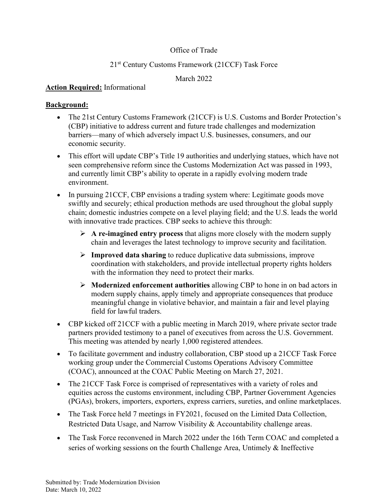# Office of Trade

# 21st Century Customs Framework (21CCF) Task Force

# March 2022

## **Action Required:** Informational

## **Background:**

- The 21st Century Customs Framework (21CCF) is U.S. Customs and Border Protection's (CBP) initiative to address current and future trade challenges and modernization barriers—many of which adversely impact U.S. businesses, consumers, and our economic security.
- This effort will update CBP's Title 19 authorities and underlying statues, which have not seen comprehensive reform since the Customs Modernization Act was passed in 1993, and currently limit CBP's ability to operate in a rapidly evolving modern trade environment.
- In pursuing 21 CCF, CBP envisions a trading system where: Legitimate goods move swiftly and securely; ethical production methods are used throughout the global supply chain; domestic industries compete on a level playing field; and the U.S. leads the world with innovative trade practices. CBP seeks to achieve this through:
	- **A re-imagined entry process** that aligns more closely with the modern supply chain and leverages the latest technology to improve security and facilitation.
	- **Improved data sharing** to reduce duplicative data submissions, improve coordination with stakeholders, and provide intellectual property rights holders with the information they need to protect their marks.
	- **Modernized enforcement authorities** allowing CBP to hone in on bad actors in modern supply chains, apply timely and appropriate consequences that produce meaningful change in violative behavior, and maintain a fair and level playing field for lawful traders.
- CBP kicked off 21CCF with a public meeting in March 2019, where private sector trade partners provided testimony to a panel of executives from across the U.S. Government. This meeting was attended by nearly 1,000 registered attendees.
- To facilitate government and industry collaboration, CBP stood up a 21CCF Task Force working group under the Commercial Customs Operations Advisory Committee (COAC), announced at the COAC Public Meeting on March 27, 2021.
- The 21CCF Task Force is comprised of representatives with a variety of roles and equities across the customs environment, including CBP, Partner Government Agencies (PGAs), brokers, importers, exporters, express carriers, sureties, and online marketplaces.
- The Task Force held 7 meetings in FY2021, focused on the Limited Data Collection, Restricted Data Usage, and Narrow Visibility & Accountability challenge areas.
- The Task Force reconvened in March 2022 under the 16th Term COAC and completed a series of working sessions on the fourth Challenge Area, Untimely & Ineffective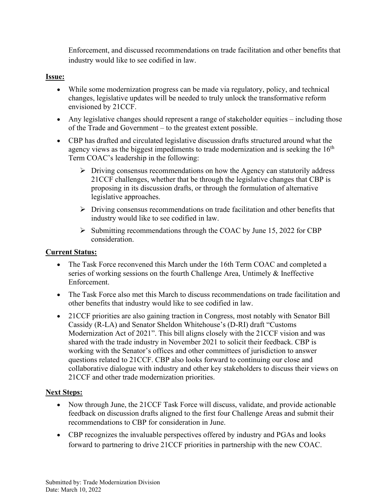Enforcement, and discussed recommendations on trade facilitation and other benefits that industry would like to see codified in law.

## **Issue:**

- While some modernization progress can be made via regulatory, policy, and technical changes, legislative updates will be needed to truly unlock the transformative reform envisioned by 21CCF.
- Any legislative changes should represent a range of stakeholder equities including those of the Trade and Government – to the greatest extent possible.
- CBP has drafted and circulated legislative discussion drafts structured around what the agency views as the biggest impediments to trade modernization and is seeking the  $16<sup>th</sup>$ Term COAC's leadership in the following:
	- $\triangleright$  Driving consensus recommendations on how the Agency can statutorily address 21CCF challenges, whether that be through the legislative changes that CBP is proposing in its discussion drafts, or through the formulation of alternative legislative approaches.
	- $\triangleright$  Driving consensus recommendations on trade facilitation and other benefits that industry would like to see codified in law.
	- $\triangleright$  Submitting recommendations through the COAC by June 15, 2022 for CBP consideration.

### **Current Status:**

- The Task Force reconvened this March under the 16th Term COAC and completed a series of working sessions on the fourth Challenge Area, Untimely & Ineffective Enforcement.
- The Task Force also met this March to discuss recommendations on trade facilitation and other benefits that industry would like to see codified in law.
- 21 CCF priorities are also gaining traction in Congress, most notably with Senator Bill Cassidy (R-LA) and Senator Sheldon Whitehouse's (D-RI) draft "Customs Modernization Act of 2021". This bill aligns closely with the 21CCF vision and was shared with the trade industry in November 2021 to solicit their feedback. CBP is working with the Senator's offices and other committees of jurisdiction to answer questions related to 21CCF. CBP also looks forward to continuing our close and collaborative dialogue with industry and other key stakeholders to discuss their views on 21CCF and other trade modernization priorities.

### **Next Steps:**

- Now through June, the 21CCF Task Force will discuss, validate, and provide actionable feedback on discussion drafts aligned to the first four Challenge Areas and submit their recommendations to CBP for consideration in June.
- CBP recognizes the invaluable perspectives offered by industry and PGAs and looks forward to partnering to drive 21CCF priorities in partnership with the new COAC.